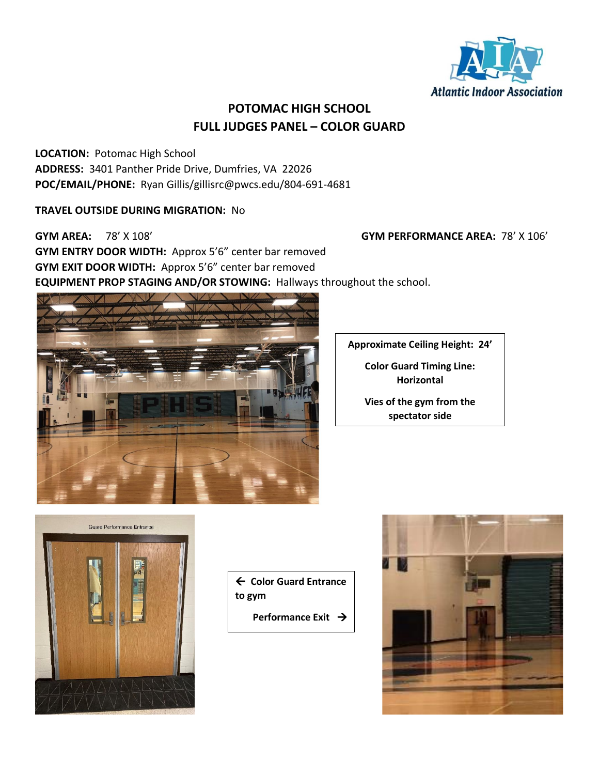

### **POTOMAC HIGH SCHOOL FULL JUDGES PANEL – COLOR GUARD**

**LOCATION:** Potomac High School **ADDRESS:** 3401 Panther Pride Drive, Dumfries, VA 22026 **POC/EMAIL/PHONE:** Ryan Gillis/gillisrc@pwcs.edu/804-691-4681

### **TRAVEL OUTSIDE DURING MIGRATION:** No

**GYM AREA:** 78' X 108' **GYM PERFORMANCE AREA:** 78' X 106' **GYM ENTRY DOOR WIDTH:** Approx 5'6" center bar removed **GYM EXIT DOOR WIDTH:** Approx 5'6" center bar removed **EQUIPMENT PROP STAGING AND/OR STOWING:** Hallways throughout the school.



**Approximate Ceiling Height: 24'**

**Color Guard Timing Line: Horizontal**

**Vies of the gym from the spectator side**



 **Color Guard Entrance to gym**

**Performance Exit →** 

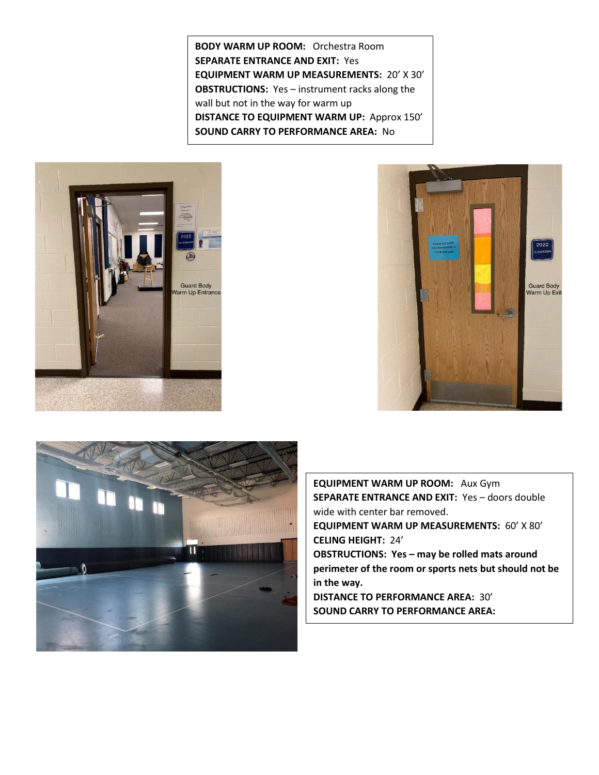**BODY WARM UP ROOM:** Orchestra Room **SEPARATE ENTRANCE AND EXIT:** Yes **EQUIPMENT WARM UP MEASUREMENTS:** 20' X 30' **OBSTRUCTIONS:** Yes – instrument racks along the wall but not in the way for warm up **DISTANCE TO EQUIPMENT WARM UP:** Approx 150' **SOUND CARRY TO PERFORMANCE AREA:** No







**EQUIPMENT WARM UP ROOM:** Aux Gym **SEPARATE ENTRANCE AND EXIT:** Yes – doors double wide with center bar removed. **EQUIPMENT WARM UP MEASUREMENTS:** 60' X 80' **CELING HEIGHT:** 24' **OBSTRUCTIONS: Yes – may be rolled mats around perimeter of the room or sports nets but should not be in the way. DISTANCE TO PERFORMANCE AREA:** 30' **SOUND CARRY TO PERFORMANCE AREA:**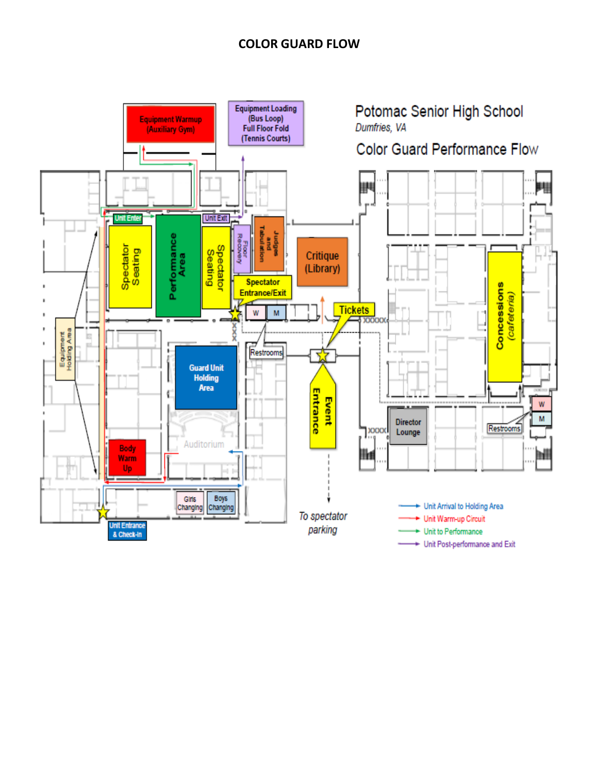### **COLOR GUARD FLOW**